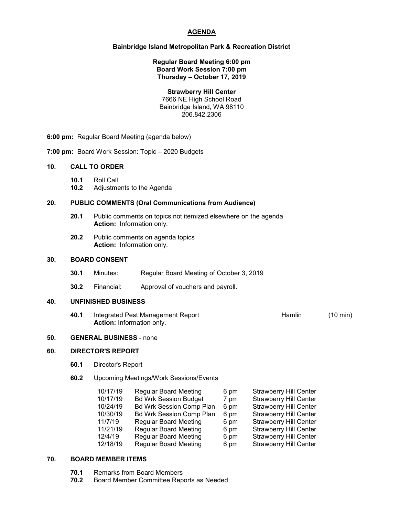# **AGENDA**

# **Bainbridge Island Metropolitan Park & Recreation District**

#### **Regular Board Meeting 6:00 pm Board Work Session 7:00 pm Thursday – October 17, 2019**

#### **Strawberry Hill Center**

7666 NE High School Road Bainbridge Island, WA 98110 206.842.2306

**6:00 pm:** Regular Board Meeting (agenda below)

**7:00 pm:** Board Work Session: Topic – 2020 Budgets

#### **10. CALL TO ORDER**

- **10.1** Roll Call
- **10.2** Adjustments to the Agenda

#### **20. PUBLIC COMMENTS (Oral Communications from Audience)**

- **20.1** Public comments on topics not itemized elsewhere on the agenda **Action:** Information only.
- **20.2** Public comments on agenda topics **Action:** Information only.

## **30. BOARD CONSENT**

- **30.1** Minutes: Regular Board Meeting of October 3, 2019
- **30.2** Financial: Approval of vouchers and payroll.

# **40. UNFINISHED BUSINESS**

**40.1** Integrated Pest Management Report **Hamlin** (10 min) **Action:** Information only.

## **50. GENERAL BUSINESS** - none

# **60. DIRECTOR'S REPORT**

- **60.1** Director's Report
- **60.2** Upcoming Meetings/Work Sessions/Events

| 10/17/19 | <b>Regular Board Meeting</b>    | 6 pm | <b>Strawberry Hill Center</b> |
|----------|---------------------------------|------|-------------------------------|
| 10/17/19 | <b>Bd Wrk Session Budget</b>    | 7 pm | <b>Strawberry Hill Center</b> |
| 10/24/19 | <b>Bd Wrk Session Comp Plan</b> | 6 pm | <b>Strawberry Hill Center</b> |
| 10/30/19 | <b>Bd Wrk Session Comp Plan</b> | 6 pm | <b>Strawberry Hill Center</b> |
| 11/7/19  | <b>Regular Board Meeting</b>    | 6 pm | <b>Strawberry Hill Center</b> |
| 11/21/19 | <b>Regular Board Meeting</b>    | 6 pm | <b>Strawberry Hill Center</b> |
| 12/4/19  | <b>Regular Board Meeting</b>    | 6 pm | <b>Strawberry Hill Center</b> |
| 12/18/19 | <b>Regular Board Meeting</b>    | 6 pm | <b>Strawberry Hill Center</b> |

# **70. BOARD MEMBER ITEMS**

- **70.1** Remarks from Board Members
- **70.2** Board Member Committee Reports as Needed